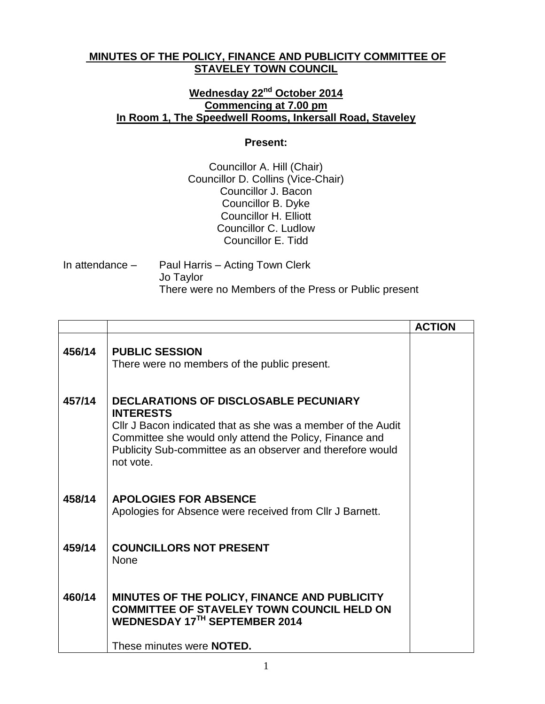## **MINUTES OF THE POLICY, FINANCE AND PUBLICITY COMMITTEE OF STAVELEY TOWN COUNCIL**

## **Wednesday 22nd October 2014 Commencing at 7.00 pm In Room 1, The Speedwell Rooms, Inkersall Road, Staveley**

## **Present:**

Councillor A. Hill (Chair) Councillor D. Collins (Vice-Chair) Councillor J. Bacon Councillor B. Dyke Councillor H. Elliott Councillor C. Ludlow Councillor E. Tidd

| In attendance $-$ | Paul Harris – Acting Town Clerk                      |
|-------------------|------------------------------------------------------|
|                   | Jo Taylor                                            |
|                   | There were no Members of the Press or Public present |

|        |                                                                                                                                                                                                                                                                 | <b>ACTION</b> |
|--------|-----------------------------------------------------------------------------------------------------------------------------------------------------------------------------------------------------------------------------------------------------------------|---------------|
| 456/14 | <b>PUBLIC SESSION</b><br>There were no members of the public present.                                                                                                                                                                                           |               |
| 457/14 | DECLARATIONS OF DISCLOSABLE PECUNIARY<br><b>INTERESTS</b><br>Cllr J Bacon indicated that as she was a member of the Audit<br>Committee she would only attend the Policy, Finance and<br>Publicity Sub-committee as an observer and therefore would<br>not vote. |               |
| 458/14 | <b>APOLOGIES FOR ABSENCE</b><br>Apologies for Absence were received from Cllr J Barnett.                                                                                                                                                                        |               |
| 459/14 | <b>COUNCILLORS NOT PRESENT</b><br><b>None</b>                                                                                                                                                                                                                   |               |
| 460/14 | MINUTES OF THE POLICY, FINANCE AND PUBLICITY<br><b>COMMITTEE OF STAVELEY TOWN COUNCIL HELD ON</b><br>WEDNESDAY 17TH SEPTEMBER 2014<br>These minutes were <b>NOTED</b> .                                                                                         |               |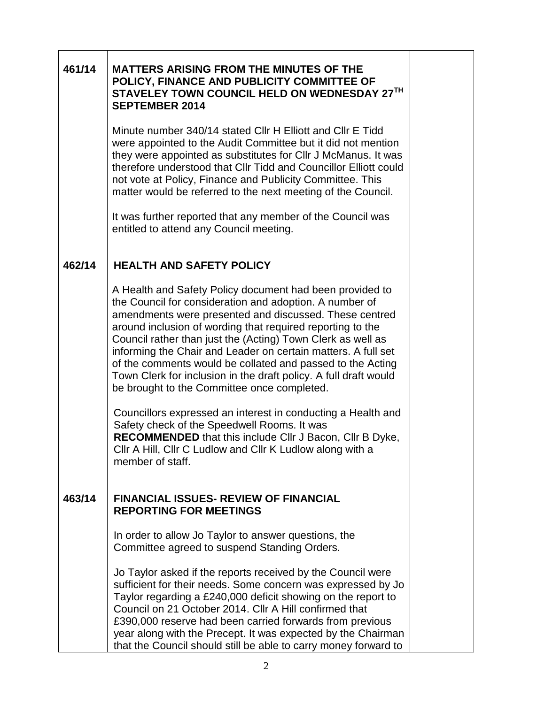| 461/14 | <b>MATTERS ARISING FROM THE MINUTES OF THE</b><br>POLICY, FINANCE AND PUBLICITY COMMITTEE OF<br>STAVELEY TOWN COUNCIL HELD ON WEDNESDAY 27TH<br><b>SEPTEMBER 2014</b>                                                                                                                                                                                                                                                                                                                                                                                        |  |
|--------|--------------------------------------------------------------------------------------------------------------------------------------------------------------------------------------------------------------------------------------------------------------------------------------------------------------------------------------------------------------------------------------------------------------------------------------------------------------------------------------------------------------------------------------------------------------|--|
|        | Minute number 340/14 stated CIIr H Elliott and CIIr E Tidd<br>were appointed to the Audit Committee but it did not mention<br>they were appointed as substitutes for CIIr J McManus. It was<br>therefore understood that CIIr Tidd and Councillor Elliott could<br>not vote at Policy, Finance and Publicity Committee. This<br>matter would be referred to the next meeting of the Council.                                                                                                                                                                 |  |
|        | It was further reported that any member of the Council was<br>entitled to attend any Council meeting.                                                                                                                                                                                                                                                                                                                                                                                                                                                        |  |
| 462/14 | <b>HEALTH AND SAFETY POLICY</b>                                                                                                                                                                                                                                                                                                                                                                                                                                                                                                                              |  |
|        | A Health and Safety Policy document had been provided to<br>the Council for consideration and adoption. A number of<br>amendments were presented and discussed. These centred<br>around inclusion of wording that required reporting to the<br>Council rather than just the (Acting) Town Clerk as well as<br>informing the Chair and Leader on certain matters. A full set<br>of the comments would be collated and passed to the Acting<br>Town Clerk for inclusion in the draft policy. A full draft would<br>be brought to the Committee once completed. |  |
|        | Councillors expressed an interest in conducting a Health and<br>Safety check of the Speedwell Rooms. It was<br>RECOMMENDED that this include CIIr J Bacon, CIIr B Dyke,<br>Cllr A Hill, Cllr C Ludlow and Cllr K Ludlow along with a<br>member of staff.                                                                                                                                                                                                                                                                                                     |  |
| 463/14 | <b>FINANCIAL ISSUES- REVIEW OF FINANCIAL</b><br><b>REPORTING FOR MEETINGS</b>                                                                                                                                                                                                                                                                                                                                                                                                                                                                                |  |
|        | In order to allow Jo Taylor to answer questions, the<br>Committee agreed to suspend Standing Orders.                                                                                                                                                                                                                                                                                                                                                                                                                                                         |  |
|        | Jo Taylor asked if the reports received by the Council were<br>sufficient for their needs. Some concern was expressed by Jo<br>Taylor regarding a £240,000 deficit showing on the report to<br>Council on 21 October 2014. Cllr A Hill confirmed that<br>£390,000 reserve had been carried forwards from previous<br>year along with the Precept. It was expected by the Chairman<br>that the Council should still be able to carry money forward to                                                                                                         |  |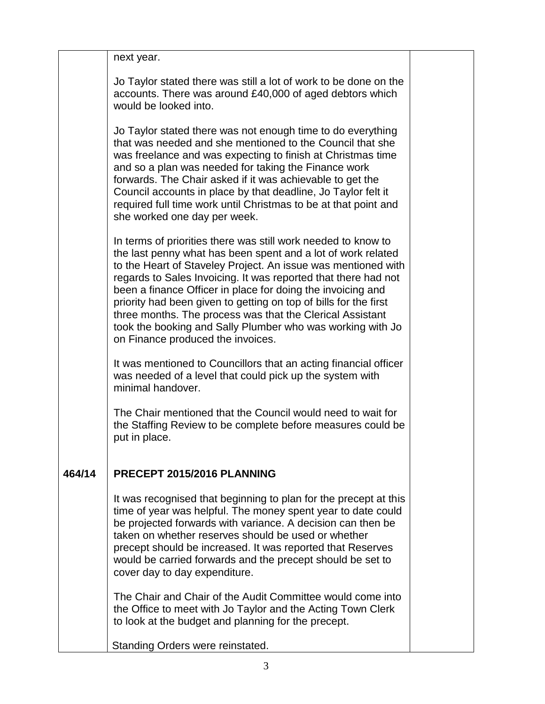|        | next year.                                                                                                                                                                                                                                                                                                                                                                                                                                                                                                                                                          |  |
|--------|---------------------------------------------------------------------------------------------------------------------------------------------------------------------------------------------------------------------------------------------------------------------------------------------------------------------------------------------------------------------------------------------------------------------------------------------------------------------------------------------------------------------------------------------------------------------|--|
|        | Jo Taylor stated there was still a lot of work to be done on the<br>accounts. There was around £40,000 of aged debtors which<br>would be looked into.                                                                                                                                                                                                                                                                                                                                                                                                               |  |
|        | Jo Taylor stated there was not enough time to do everything<br>that was needed and she mentioned to the Council that she<br>was freelance and was expecting to finish at Christmas time<br>and so a plan was needed for taking the Finance work<br>forwards. The Chair asked if it was achievable to get the<br>Council accounts in place by that deadline, Jo Taylor felt it<br>required full time work until Christmas to be at that point and<br>she worked one day per week.                                                                                    |  |
|        | In terms of priorities there was still work needed to know to<br>the last penny what has been spent and a lot of work related<br>to the Heart of Staveley Project. An issue was mentioned with<br>regards to Sales Invoicing. It was reported that there had not<br>been a finance Officer in place for doing the invoicing and<br>priority had been given to getting on top of bills for the first<br>three months. The process was that the Clerical Assistant<br>took the booking and Sally Plumber who was working with Jo<br>on Finance produced the invoices. |  |
|        | It was mentioned to Councillors that an acting financial officer<br>was needed of a level that could pick up the system with<br>minimal handover.                                                                                                                                                                                                                                                                                                                                                                                                                   |  |
|        | The Chair mentioned that the Council would need to wait for<br>the Staffing Review to be complete before measures could be<br>put in place.                                                                                                                                                                                                                                                                                                                                                                                                                         |  |
| 464/14 | PRECEPT 2015/2016 PLANNING                                                                                                                                                                                                                                                                                                                                                                                                                                                                                                                                          |  |
|        | It was recognised that beginning to plan for the precept at this<br>time of year was helpful. The money spent year to date could<br>be projected forwards with variance. A decision can then be<br>taken on whether reserves should be used or whether<br>precept should be increased. It was reported that Reserves<br>would be carried forwards and the precept should be set to<br>cover day to day expenditure.                                                                                                                                                 |  |
|        | The Chair and Chair of the Audit Committee would come into<br>the Office to meet with Jo Taylor and the Acting Town Clerk<br>to look at the budget and planning for the precept.                                                                                                                                                                                                                                                                                                                                                                                    |  |
|        | Standing Orders were reinstated.                                                                                                                                                                                                                                                                                                                                                                                                                                                                                                                                    |  |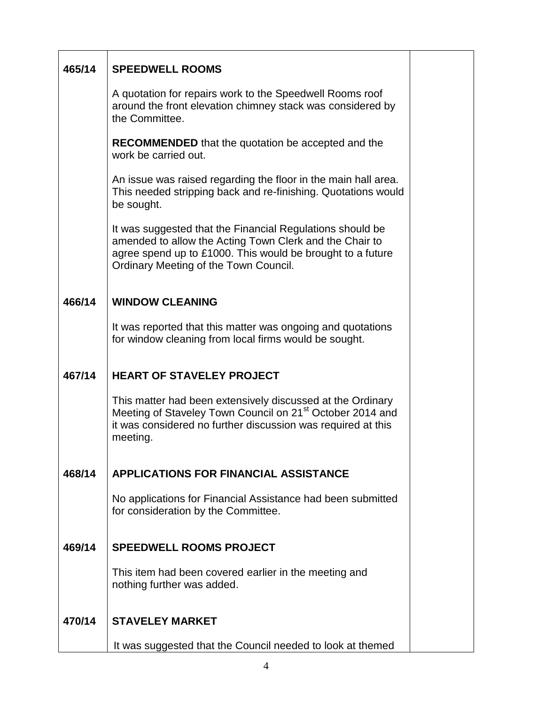| 465/14 | <b>SPEEDWELL ROOMS</b>                                                                                                                                                                                                      |  |
|--------|-----------------------------------------------------------------------------------------------------------------------------------------------------------------------------------------------------------------------------|--|
|        | A quotation for repairs work to the Speedwell Rooms roof<br>around the front elevation chimney stack was considered by<br>the Committee.                                                                                    |  |
|        | <b>RECOMMENDED</b> that the quotation be accepted and the<br>work be carried out.                                                                                                                                           |  |
|        | An issue was raised regarding the floor in the main hall area.<br>This needed stripping back and re-finishing. Quotations would<br>be sought.                                                                               |  |
|        | It was suggested that the Financial Regulations should be<br>amended to allow the Acting Town Clerk and the Chair to<br>agree spend up to £1000. This would be brought to a future<br>Ordinary Meeting of the Town Council. |  |
| 466/14 | <b>WINDOW CLEANING</b>                                                                                                                                                                                                      |  |
|        | It was reported that this matter was ongoing and quotations<br>for window cleaning from local firms would be sought.                                                                                                        |  |
| 467/14 | <b>HEART OF STAVELEY PROJECT</b>                                                                                                                                                                                            |  |
|        | This matter had been extensively discussed at the Ordinary<br>Meeting of Staveley Town Council on 21 <sup>st</sup> October 2014 and<br>it was considered no further discussion was required at this<br>meeting.             |  |
| 468/14 | <b>APPLICATIONS FOR FINANCIAL ASSISTANCE</b>                                                                                                                                                                                |  |
|        | No applications for Financial Assistance had been submitted<br>for consideration by the Committee.                                                                                                                          |  |
| 469/14 | <b>SPEEDWELL ROOMS PROJECT</b>                                                                                                                                                                                              |  |
|        | This item had been covered earlier in the meeting and<br>nothing further was added.                                                                                                                                         |  |
| 470/14 | <b>STAVELEY MARKET</b>                                                                                                                                                                                                      |  |
|        | It was suggested that the Council needed to look at themed                                                                                                                                                                  |  |